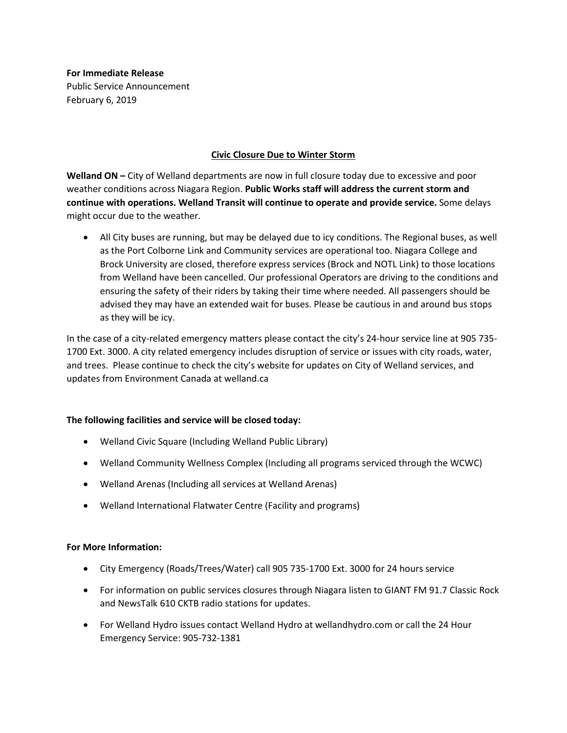**For Immediate Release** Public Service Announcement February 6, 2019

## **Civic Closure Due to Winter Storm**

**Welland ON –** City of Welland departments are now in full closure today due to excessive and poor weather conditions across Niagara Region. **Public Works staff will address the current storm and continue with operations. Welland Transit will continue to operate and provide service.** Some delays might occur due to the weather.

• All City buses are running, but may be delayed due to icy conditions. The Regional buses, as well as the Port Colborne Link and Community services are operational too. Niagara College and Brock University are closed, therefore express services (Brock and NOTL Link) to those locations from Welland have been cancelled. Our professional Operators are driving to the conditions and ensuring the safety of their riders by taking their time where needed. All passengers should be advised they may have an extended wait for buses. Please be cautious in and around bus stops as they will be icy.

In the case of a city-related emergency matters please contact the city's 24-hour service line at 905 735- 1700 Ext. 3000. A city related emergency includes disruption of service or issues with city roads, water, and trees. Please continue to check the city's website for updates on City of Welland services, and updates from Environment Canada at welland.ca

## **The following facilities and service will be closed today:**

- Welland Civic Square (Including Welland Public Library)
- Welland Community Wellness Complex (Including all programs serviced through the WCWC)
- Welland Arenas (Including all services at Welland Arenas)
- Welland International Flatwater Centre (Facility and programs)

## **For More Information:**

- City Emergency (Roads/Trees/Water) call 905 735-1700 Ext. 3000 for 24 hours service
- For information on public services closures through Niagara listen to GIANT FM 91.7 Classic Rock and NewsTalk 610 CKTB radio stations for updates.
- For Welland Hydro issues contact Welland Hydro at wellandhydro.com or call the 24 Hour Emergency Service: 905-732-1381